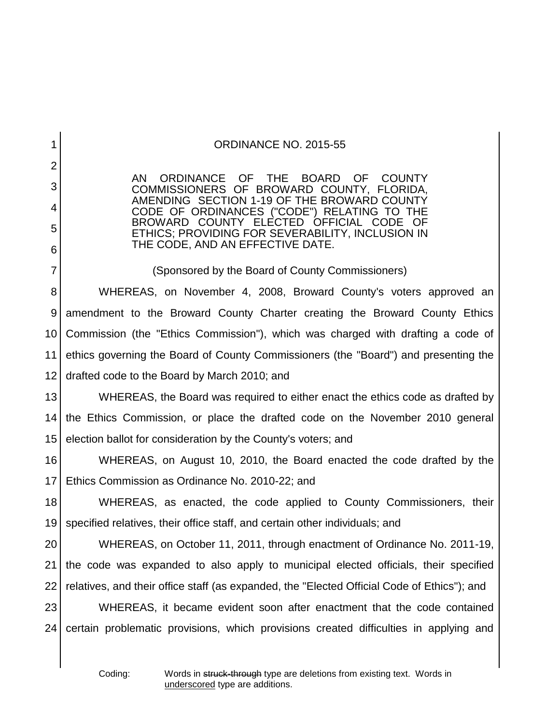| $\mathbf 1$    | ORDINANCE NO. 2015-55                                                                                                                        |
|----------------|----------------------------------------------------------------------------------------------------------------------------------------------|
| $\overline{2}$ |                                                                                                                                              |
| 3              | ORDINANCE OF THE BOARD OF<br>AN<br><b>COUNTY</b><br>COMMISSIONERS OF BROWARD COUNTY, FLORIDA,<br>AMENDING SECTION 1-19 OF THE BROWARD COUNTY |
| 4              | CODE OF ORDINANCES ("CODE") RELATING TO THE                                                                                                  |
| 5              | BROWARD COUNTY ELECTED OFFICIAL CODE<br>- OF<br>ETHICS; PROVIDING FOR SEVERABILITY, INCLUSION IN                                             |
| 6              | THE CODE, AND AN EFFECTIVE DATE.                                                                                                             |
| $\overline{7}$ | (Sponsored by the Board of County Commissioners)                                                                                             |
| 8              | WHEREAS, on November 4, 2008, Broward County's voters approved an                                                                            |
| 9              | amendment to the Broward County Charter creating the Broward County Ethics                                                                   |
| 10             | Commission (the "Ethics Commission"), which was charged with drafting a code of                                                              |
| 11             | ethics governing the Board of County Commissioners (the "Board") and presenting the                                                          |
| 12             | drafted code to the Board by March 2010; and                                                                                                 |
| 13             | WHEREAS, the Board was required to either enact the ethics code as drafted by                                                                |
| 14             | the Ethics Commission, or place the drafted code on the November 2010 general                                                                |
| 15             | election ballot for consideration by the County's voters; and                                                                                |
| 16             | WHEREAS, on August 10, 2010, the Board enacted the code drafted by the                                                                       |
| 17             | Ethics Commission as Ordinance No. 2010-22; and                                                                                              |
| 18             | WHEREAS, as enacted, the code applied to County Commissioners, their                                                                         |
| 19             | specified relatives, their office staff, and certain other individuals; and                                                                  |
| 20             | WHEREAS, on October 11, 2011, through enactment of Ordinance No. 2011-19,                                                                    |
| 21             | the code was expanded to also apply to municipal elected officials, their specified                                                          |
| 22             | relatives, and their office staff (as expanded, the "Elected Official Code of Ethics"); and                                                  |
| 23             | WHEREAS, it became evident soon after enactment that the code contained                                                                      |
| 24             | certain problematic provisions, which provisions created difficulties in applying and                                                        |
|                |                                                                                                                                              |

 $\overline{\phantom{a}}$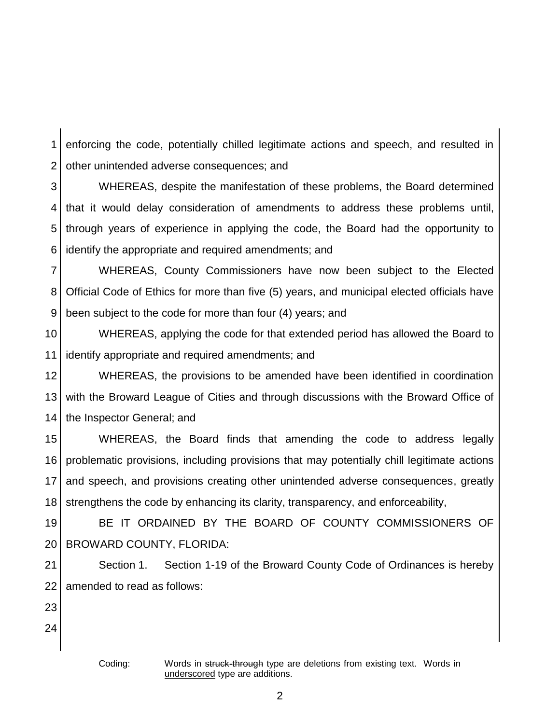1 2 enforcing the code, potentially chilled legitimate actions and speech, and resulted in other unintended adverse consequences; and

3 4 5 6 WHEREAS, despite the manifestation of these problems, the Board determined that it would delay consideration of amendments to address these problems until, through years of experience in applying the code, the Board had the opportunity to identify the appropriate and required amendments; and

7 8 9 WHEREAS, County Commissioners have now been subject to the Elected Official Code of Ethics for more than five (5) years, and municipal elected officials have been subject to the code for more than four (4) years; and

10 11 WHEREAS, applying the code for that extended period has allowed the Board to identify appropriate and required amendments; and

12 13 14 WHEREAS, the provisions to be amended have been identified in coordination with the Broward League of Cities and through discussions with the Broward Office of the Inspector General; and

15 16 17 18 WHEREAS, the Board finds that amending the code to address legally problematic provisions, including provisions that may potentially chill legitimate actions and speech, and provisions creating other unintended adverse consequences, greatly strengthens the code by enhancing its clarity, transparency, and enforceability,

19 20 BE IT ORDAINED BY THE BOARD OF COUNTY COMMISSIONERS OF BROWARD COUNTY, FLORIDA:

21 22 Section 1. Section 1-19 of the Broward County Code of Ordinances is hereby amended to read as follows:

23

24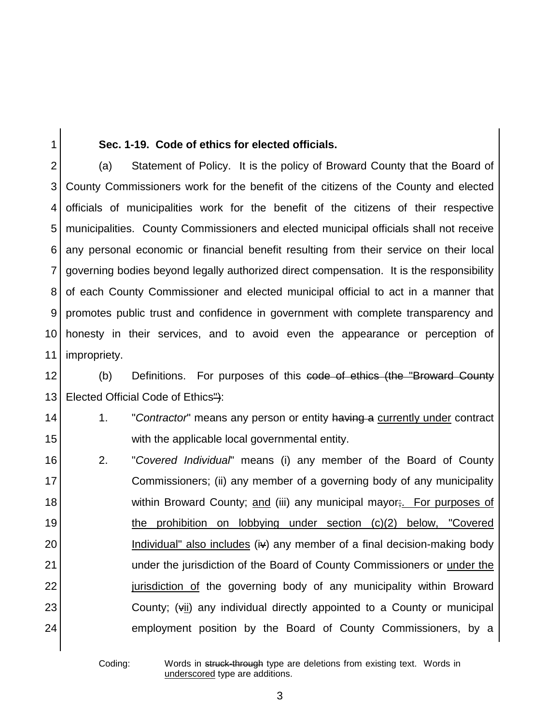### 1

### **Sec. 1-19. Code of ethics for elected officials.**

2 3 4 5 6 7 8 9 10 11 (a) Statement of Policy. It is the policy of Broward County that the Board of County Commissioners work for the benefit of the citizens of the County and elected officials of municipalities work for the benefit of the citizens of their respective municipalities. County Commissioners and elected municipal officials shall not receive any personal economic or financial benefit resulting from their service on their local governing bodies beyond legally authorized direct compensation. It is the responsibility of each County Commissioner and elected municipal official to act in a manner that promotes public trust and confidence in government with complete transparency and honesty in their services, and to avoid even the appearance or perception of impropriety.

12 13 (b) Definitions. For purposes of this code of ethics (the "Broward County" Elected Official Code of Ethics"):

# 14 15

1. "*Contractor*" means any person or entity having a currently under contract with the applicable local governmental entity.

16 17 18 19 20 21 22 23 24 2. "*Covered Individual*" means (i) any member of the Board of County Commissioners; (ii) any member of a governing body of any municipality within Broward County; and (iii) any municipal mayor; For purposes of the prohibition on lobbying under section (c)(2) below, "Covered Individual" also includes (iv) any member of a final decision-making body under the jurisdiction of the Board of County Commissioners or under the jurisdiction of the governing body of any municipality within Broward County; (vii) any individual directly appointed to a County or municipal employment position by the Board of County Commissioners, by a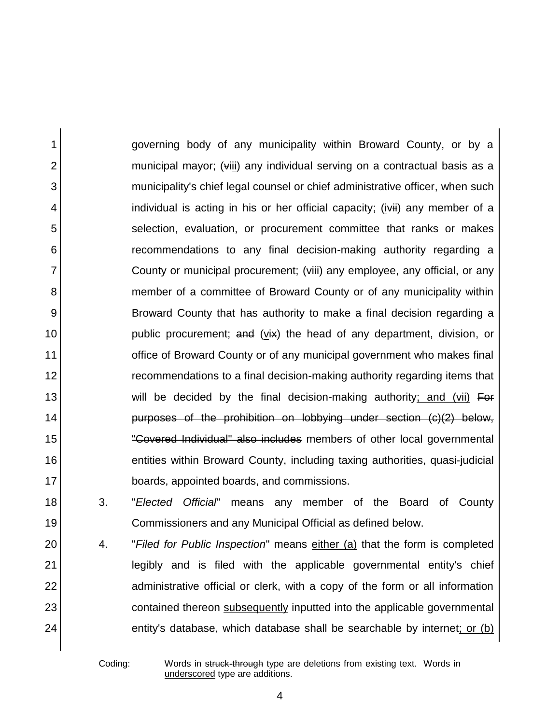1 2 3 4 5 6 7 8 9 10 11 12 13 14 15 16 17 governing body of any municipality within Broward County, or by a municipal mayor; (viii) any individual serving on a contractual basis as a municipality's chief legal counsel or chief administrative officer, when such individual is acting in his or her official capacity; (ivii) any member of a selection, evaluation, or procurement committee that ranks or makes recommendations to any final decision-making authority regarding a County or municipal procurement; (viii) any employee, any official, or any member of a committee of Broward County or of any municipality within Broward County that has authority to make a final decision regarding a public procurement; and (vix) the head of any department, division, or office of Broward County or of any municipal government who makes final recommendations to a final decision-making authority regarding items that will be decided by the final decision-making authority; and (vii) For purposes of the prohibition on lobbying under section (c)(2) below, "Covered Individual" also includes members of other local governmental entities within Broward County, including taxing authorities, quasi-judicial boards, appointed boards, and commissions.

3. "*Elected Official*" means any member of the Board of County Commissioners and any Municipal Official as defined below.

4. "*Filed for Public Inspection*" means either (a) that the form is completed legibly and is filed with the applicable governmental entity's chief administrative official or clerk, with a copy of the form or all information contained thereon subsequently inputted into the applicable governmental entity's database, which database shall be searchable by internet; or (b)

18

19

20

21

22

23

24

Coding: Words in struck-through type are deletions from existing text. Words in underscored type are additions.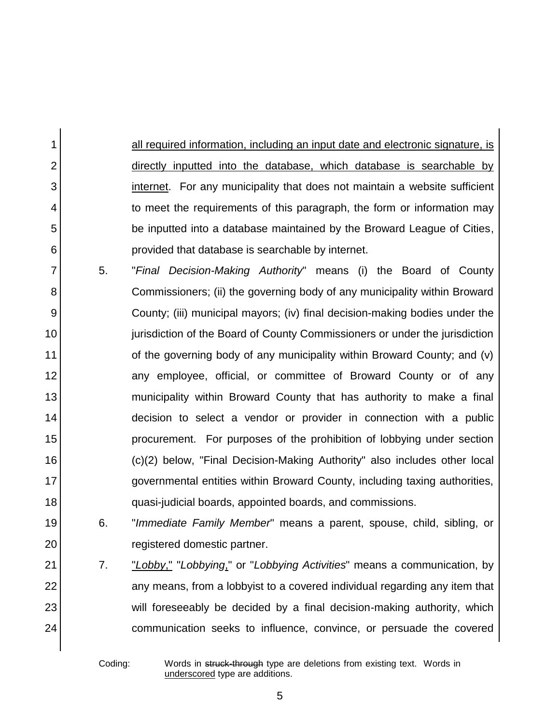all required information, including an input date and electronic signature, is directly inputted into the database, which database is searchable by internet. For any municipality that does not maintain a website sufficient to meet the requirements of this paragraph, the form or information may be inputted into a database maintained by the Broward League of Cities, provided that database is searchable by internet.

- 7 8 9 10 11 12 13 14 15 16 17 18 5. "*Final Decision-Making Authority*" means (i) the Board of County Commissioners; (ii) the governing body of any municipality within Broward County; (iii) municipal mayors; (iv) final decision-making bodies under the jurisdiction of the Board of County Commissioners or under the jurisdiction of the governing body of any municipality within Broward County; and (v) any employee, official, or committee of Broward County or of any municipality within Broward County that has authority to make a final decision to select a vendor or provider in connection with a public procurement. For purposes of the prohibition of lobbying under section (c)(2) below, "Final Decision-Making Authority" also includes other local governmental entities within Broward County, including taxing authorities, quasi-judicial boards, appointed boards, and commissions.
- 19 6. "*Immediate Family Member*" means a parent, spouse, child, sibling, or registered domestic partner.
- 21 22 23 24 7. "*Lobby*," "*Lobbying*," or "*Lobbying Activities*" means a communication, by any means, from a lobbyist to a covered individual regarding any item that will foreseeably be decided by a final decision-making authority, which communication seeks to influence, convince, or persuade the covered

1

2

3

4

5

6

20

Coding: Words in struck-through type are deletions from existing text. Words in underscored type are additions.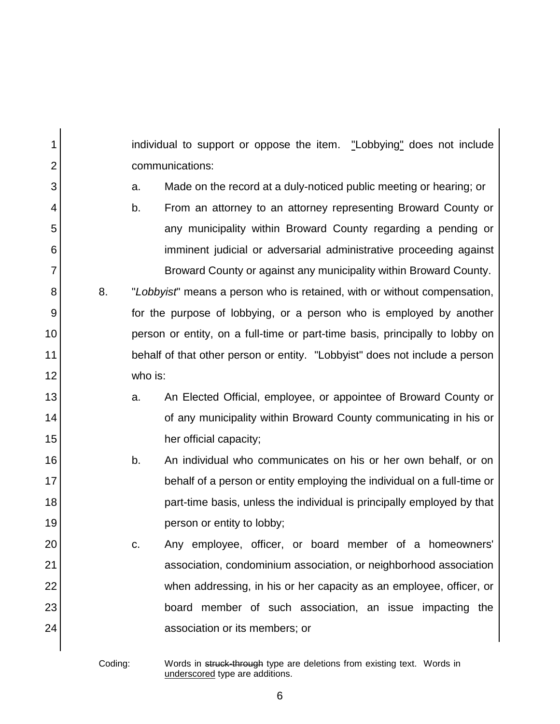1 2 3 4 5 6 7 8 9 10 11 12 13 14 15 16 17 18 19 20 21 22 23 24 individual to support or oppose the item. "Lobbying" does not include communications: a. Made on the record at a duly-noticed public meeting or hearing; or b. From an attorney to an attorney representing Broward County or any municipality within Broward County regarding a pending or imminent judicial or adversarial administrative proceeding against Broward County or against any municipality within Broward County. 8. "*Lobbyist*" means a person who is retained, with or without compensation, for the purpose of lobbying, or a person who is employed by another person or entity, on a full-time or part-time basis, principally to lobby on behalf of that other person or entity. "Lobbyist" does not include a person who is: a. An Elected Official, employee, or appointee of Broward County or of any municipality within Broward County communicating in his or her official capacity; b. An individual who communicates on his or her own behalf, or on behalf of a person or entity employing the individual on a full-time or part-time basis, unless the individual is principally employed by that person or entity to lobby; c. Any employee, officer, or board member of a homeowners' association, condominium association, or neighborhood association when addressing, in his or her capacity as an employee, officer, or board member of such association, an issue impacting the association or its members; or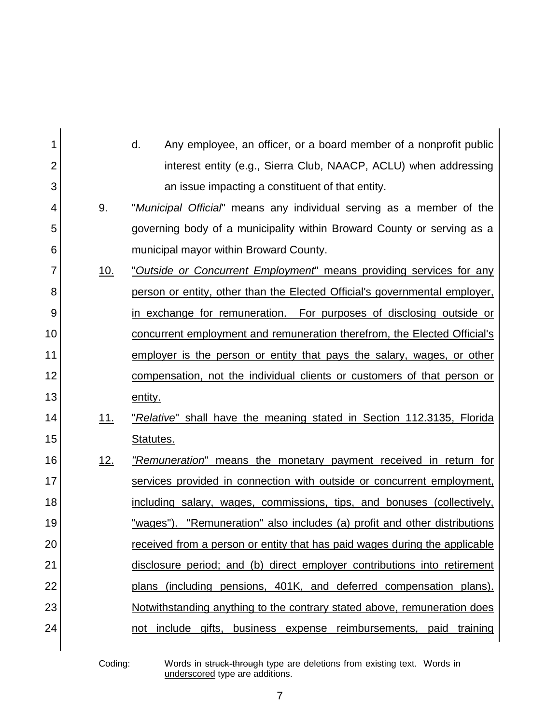| 1  |            | Any employee, an officer, or a board member of a nonprofit public<br>d.    |
|----|------------|----------------------------------------------------------------------------|
| 2  |            | interest entity (e.g., Sierra Club, NAACP, ACLU) when addressing           |
| 3  |            | an issue impacting a constituent of that entity.                           |
| 4  | 9.         | "Municipal Official" means any individual serving as a member of the       |
| 5  |            | governing body of a municipality within Broward County or serving as a     |
| 6  |            | municipal mayor within Broward County.                                     |
| 7  | <u>10.</u> | "Outside or Concurrent Employment" means providing services for any        |
| 8  |            | person or entity, other than the Elected Official's governmental employer, |
| 9  |            | in exchange for remuneration. For purposes of disclosing outside or        |
| 10 |            | concurrent employment and remuneration therefrom, the Elected Official's   |
| 11 |            | employer is the person or entity that pays the salary, wages, or other     |
| 12 |            | compensation, not the individual clients or customers of that person or    |
| 13 |            | entity.                                                                    |
| 14 | 11.        | "Relative" shall have the meaning stated in Section 112.3135, Florida      |
| 15 |            | Statutes.                                                                  |
| 16 | 12.        | "Remuneration" means the monetary payment received in return for           |
| 17 |            | services provided in connection with outside or concurrent employment,     |
| 18 |            | including salary, wages, commissions, tips, and bonuses (collectively,     |
| 19 |            | "wages"). "Remuneration" also includes (a) profit and other distributions  |
| 20 |            | received from a person or entity that has paid wages during the applicable |
| 21 |            | disclosure period; and (b) direct employer contributions into retirement   |
| 22 |            | plans (including pensions, 401K, and deferred compensation plans).         |
| 23 |            | Notwithstanding anything to the contrary stated above, remuneration does   |
| 24 |            | not include gifts, business expense reimbursements, paid training          |
|    |            |                                                                            |

Coding: Words in struck-through type are deletions from existing text. Words in underscored type are additions.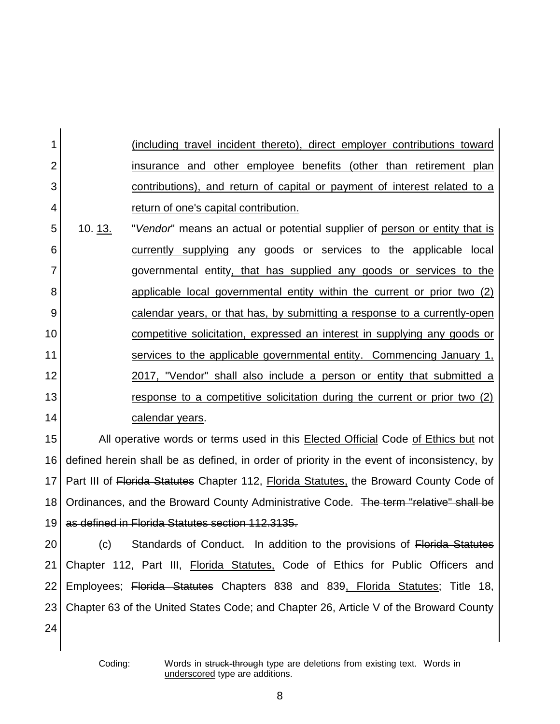(including travel incident thereto), direct employer contributions toward insurance and other employee benefits (other than retirement plan contributions), and return of capital or payment of interest related to a return of one's capital contribution.

5 6 7 8 9 10 11 12 13 14 10. 13. "*Vendor*" means an actual or potential supplier of person or entity that is currently supplying any goods or services to the applicable local governmental entity, that has supplied any goods or services to the applicable local governmental entity within the current or prior two (2) calendar years, or that has, by submitting a response to a currently-open competitive solicitation, expressed an interest in supplying any goods or services to the applicable governmental entity. Commencing January 1, 2017, "Vendor" shall also include a person or entity that submitted a response to a competitive solicitation during the current or prior two (2) calendar years.

15 16 17 18 19 All operative words or terms used in this Elected Official Code of Ethics but not defined herein shall be as defined, in order of priority in the event of inconsistency, by Part III of Florida Statutes Chapter 112, Florida Statutes, the Broward County Code of Ordinances, and the Broward County Administrative Code. The term "relative" shall be as defined in Florida Statutes section 112.3135.

20 21 22 23 24 (c) Standards of Conduct. In addition to the provisions of Florida Statutes Chapter 112, Part III, Florida Statutes, Code of Ethics for Public Officers and Employees; Florida Statutes Chapters 838 and 839, Florida Statutes; Title 18, Chapter 63 of the United States Code; and Chapter 26, Article V of the Broward County

1

2

3

4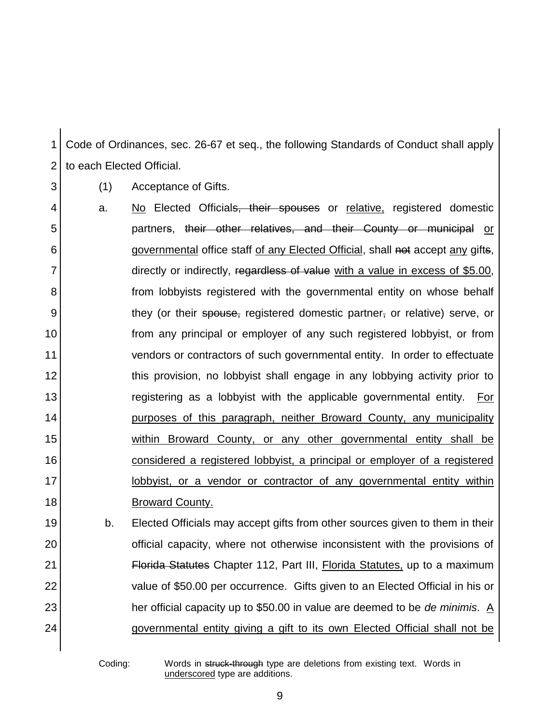1 2 Code of Ordinances, sec. 26-67 et seq., the following Standards of Conduct shall apply to each Elected Official.

(1) Acceptance of Gifts.

- 8 9 10 11 12 13 14 15 16 17 18 a. No Elected Official<del>s, their spouses</del> or relative, registered domestic partners, their other relatives, and their County or municipal or governmental office staff of any Elected Official, shall not accept any gifts, directly or indirectly, regardless of value with a value in excess of \$5.00, from lobbyists registered with the governmental entity on whose behalf they (or their spouse, registered domestic partner, or relative) serve, or from any principal or employer of any such registered lobbyist, or from vendors or contractors of such governmental entity. In order to effectuate this provision, no lobbyist shall engage in any lobbying activity prior to registering as a lobbyist with the applicable governmental entity. For purposes of this paragraph, neither Broward County, any municipality within Broward County, or any other governmental entity shall be considered a registered lobbyist, a principal or employer of a registered lobbyist, or a vendor or contractor of any governmental entity within Broward County.
- 19 20 21 22 23 24 b. Elected Officials may accept gifts from other sources given to them in their official capacity, where not otherwise inconsistent with the provisions of Florida Statutes Chapter 112, Part III, Florida Statutes, up to a maximum value of \$50.00 per occurrence. Gifts given to an Elected Official in his or her official capacity up to \$50.00 in value are deemed to be *de minimis*. A governmental entity giving a gift to its own Elected Official shall not be

Coding: Words in struck-through type are deletions from existing text. Words in underscored type are additions.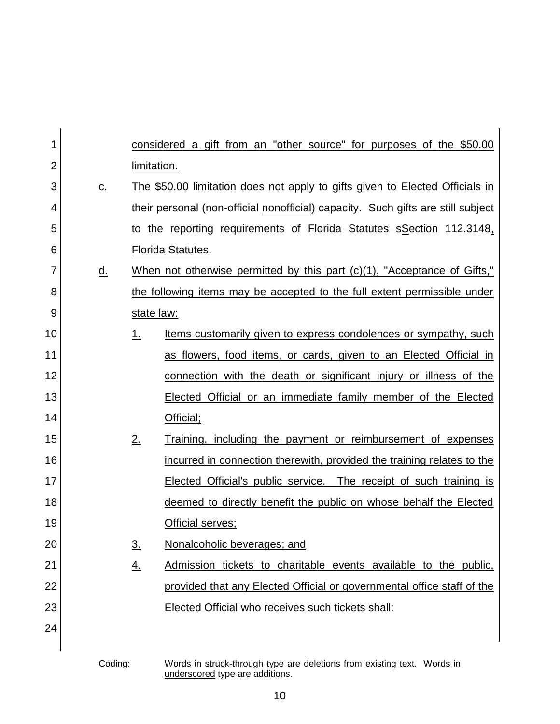| 1  |           |             | considered a gift from an "other source" for purposes of the \$50.00             |
|----|-----------|-------------|----------------------------------------------------------------------------------|
| 2  |           | limitation. |                                                                                  |
| 3  | C.        |             | The \$50.00 limitation does not apply to gifts given to Elected Officials in     |
| 4  |           |             | their personal (non-official nonofficial) capacity. Such gifts are still subject |
| 5  |           |             | to the reporting requirements of Florida Statutes sSection 112.3148,             |
| 6  |           |             | <b>Florida Statutes.</b>                                                         |
| 7  | <u>d.</u> |             | When not otherwise permitted by this part (c)(1), "Acceptance of Gifts,"         |
| 8  |           |             | the following items may be accepted to the full extent permissible under         |
| 9  |           | state law:  |                                                                                  |
| 10 |           | 1.          | <u>Items customarily given to express condolences or sympathy, such</u>          |
| 11 |           |             | as flowers, food items, or cards, given to an Elected Official in                |
| 12 |           |             | connection with the death or significant injury or illness of the                |
| 13 |           |             | <b>Elected Official or an immediate family member of the Elected</b>             |
| 14 |           |             | Official;                                                                        |
| 15 |           | 2.          | Training, including the payment or reimbursement of expenses                     |
| 16 |           |             | incurred in connection therewith, provided the training relates to the           |
| 17 |           |             | <b>Elected Official's public service.</b> The receipt of such training is        |
| 18 |           |             | deemed to directly benefit the public on whose behalf the Elected                |
| 19 |           |             | Official serves;                                                                 |
| 20 |           | <u>3.</u>   | Nonalcoholic beverages; and                                                      |
| 21 |           | <u>4.</u>   | Admission tickets to charitable events available to the public,                  |
| 22 |           |             | provided that any Elected Official or governmental office staff of the           |
| 23 |           |             | Elected Official who receives such tickets shall:                                |
| 24 |           |             |                                                                                  |
|    |           |             |                                                                                  |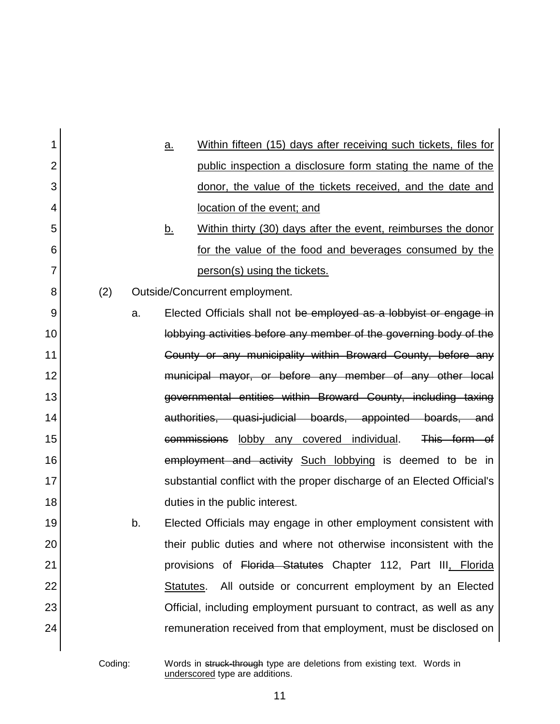| 1              |     |    | <u>a.</u> | Within fifteen (15) days after receiving such tickets, files for        |
|----------------|-----|----|-----------|-------------------------------------------------------------------------|
| $\overline{2}$ |     |    |           | public inspection a disclosure form stating the name of the             |
| 3              |     |    |           | donor, the value of the tickets received, and the date and              |
| 4              |     |    |           | location of the event; and                                              |
| 5              |     |    | <u>b.</u> | Within thirty (30) days after the event, reimburses the donor           |
| 6              |     |    |           | for the value of the food and beverages consumed by the                 |
| 7              |     |    |           | person(s) using the tickets.                                            |
| 8              | (2) |    |           | Outside/Concurrent employment.                                          |
| 9              |     | a. |           | Elected Officials shall not be employed as a lobbyist or engage in      |
| 10             |     |    |           | lobbying activities before any member of the governing body of the      |
| 11             |     |    |           | County or any municipality within Broward County, before any            |
| 12             |     |    |           | municipal mayor, or before any member of any other local                |
| 13             |     |    |           | governmental entities within Broward County, including taxing           |
| 14             |     |    |           | authorities, quasi-judicial boards, appointed boards, and               |
| 15             |     |    |           | commissions lobby any covered individual.<br>This form of               |
| 16             |     |    |           | employment and activity Such lobbying is deemed to be in                |
| 17             |     |    |           | substantial conflict with the proper discharge of an Elected Official's |
| 18             |     |    |           | duties in the public interest.                                          |
| 19             |     | b. |           | Elected Officials may engage in other employment consistent with        |
| 20             |     |    |           | their public duties and where not otherwise inconsistent with the       |
| 21             |     |    |           | provisions of Florida Statutes Chapter 112, Part III, Florida           |
| 22             |     |    | Statutes. | All outside or concurrent employment by an Elected                      |
| 23             |     |    |           | Official, including employment pursuant to contract, as well as any     |
| 24             |     |    |           | remuneration received from that employment, must be disclosed on        |
|                |     |    |           |                                                                         |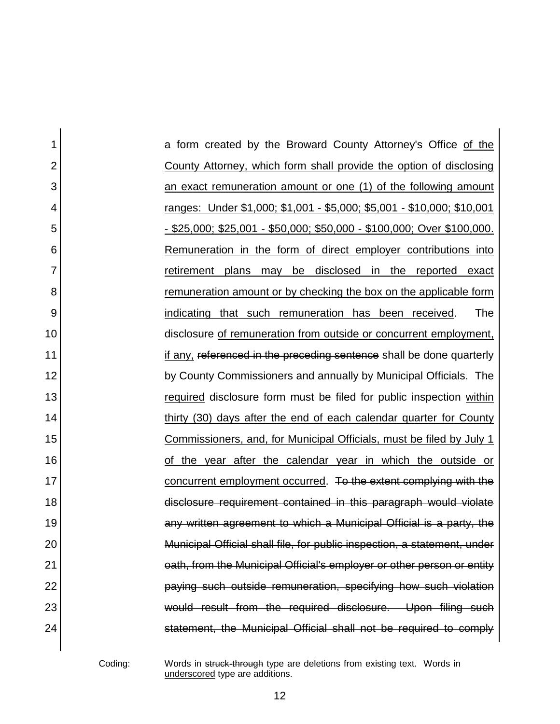| 1              | a form created by the Broward County Attorney's Office of the                 |
|----------------|-------------------------------------------------------------------------------|
| $\overline{2}$ | County Attorney, which form shall provide the option of disclosing            |
| 3              | an exact remuneration amount or one (1) of the following amount               |
| 4              | <u>ranges: Under \$1,000; \$1,001 - \$5,000; \$5,001 - \$10,000; \$10,001</u> |
| 5              | <u>- \$25,000; \$25,001 - \$50,000; \$50,000 - \$100,000; Over \$100,000.</u> |
| 6              | Remuneration in the form of direct employer contributions into                |
| 7              | may be disclosed in the reported<br>retirement plans<br>exact                 |
| 8              | remuneration amount or by checking the box on the applicable form             |
| 9              | The<br>indicating that such remuneration has been received.                   |
| 10             | disclosure of remuneration from outside or concurrent employment,             |
| 11             | if any, referenced in the preceding sentence shall be done quarterly          |
| 12             | by County Commissioners and annually by Municipal Officials. The              |
| 13             | required disclosure form must be filed for public inspection within           |
| 14             | thirty (30) days after the end of each calendar quarter for County            |
| 15             | Commissioners, and, for Municipal Officials, must be filed by July 1          |
| 16             | the year after the calendar year in which the outside or                      |
| 17             | concurrent employment occurred. To the extent complying with the              |
| 18             | disclosure requirement contained in this paragraph would violate              |
| 19             | any written agreement to which a Municipal Official is a party, the           |
| 20             | Municipal Official shall file, for public inspection, a statement, under      |
| 21             | eath, from the Municipal Official's employer or other person or entity        |
| 22             | paying such outside remuneration, specifying how such violation               |
| 23             | would result from the required disclosure. Upon filing such                   |
| 24             | statement, the Municipal Official shall not be required to comply             |
|                |                                                                               |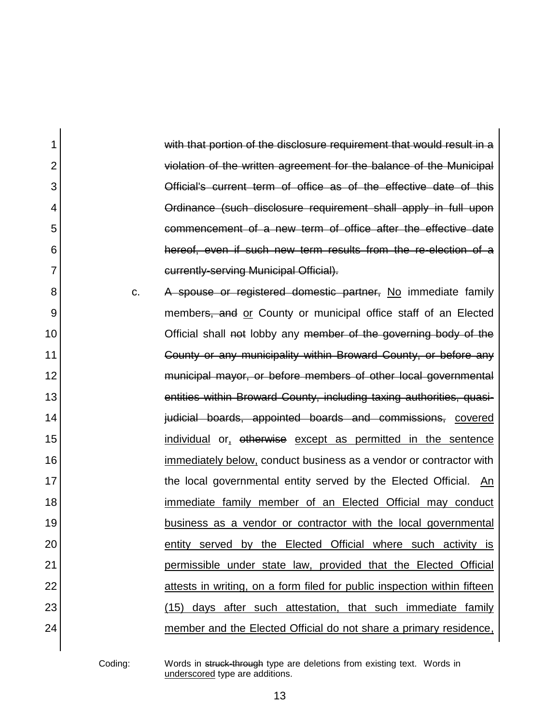1 2 3 4 5 6 7 8 9 10 11 12 13 14 15 16 17 18 19 20 21 22 23 24 with that portion of the disclosure requirement that would result in a violation of the written agreement for the balance of the Municipal Official's current term of office as of the effective date of this Ordinance (such disclosure requirement shall apply in full upon commencement of a new term of office after the effective date hereof, even if such new term results from the re-election of a currently-serving Municipal Official). c. A spouse or registered domestic partner, No immediate family members, and or County or municipal office staff of an Elected Official shall not lobby any member of the governing body of the County or any municipality within Broward County, or before any municipal mayor, or before members of other local governmental entities within Broward County, including taxing authorities, quasijudicial boards, appointed boards and commissions, covered individual or, otherwise except as permitted in the sentence immediately below, conduct business as a vendor or contractor with the local governmental entity served by the Elected Official. An immediate family member of an Elected Official may conduct business as a vendor or contractor with the local governmental entity served by the Elected Official where such activity is permissible under state law, provided that the Elected Official attests in writing, on a form filed for public inspection within fifteen (15) days after such attestation, that such immediate family member and the Elected Official do not share a primary residence,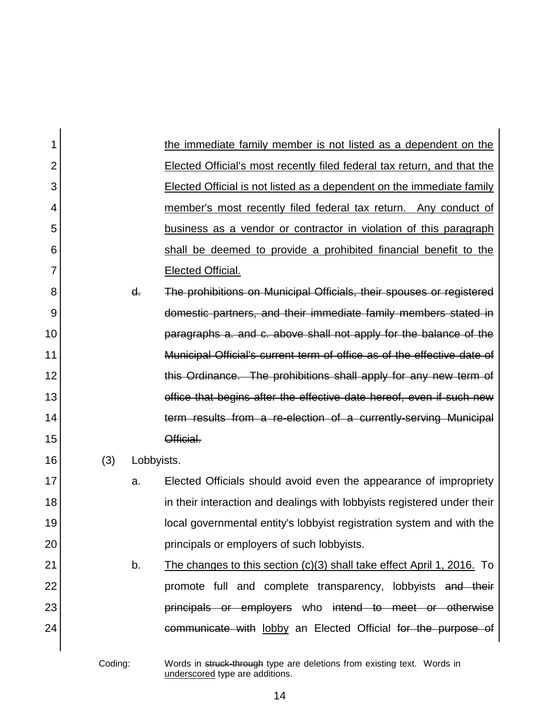| 1              |     |            | the immediate family member is not listed as a dependent on the              |
|----------------|-----|------------|------------------------------------------------------------------------------|
| $\overline{2}$ |     |            | Elected Official's most recently filed federal tax return, and that the      |
| 3              |     |            | <b>Elected Official is not listed as a dependent on the immediate family</b> |
| 4              |     |            | member's most recently filed federal tax return. Any conduct of              |
| 5              |     |            | business as a vendor or contractor in violation of this paragraph            |
| 6              |     |            | shall be deemed to provide a prohibited financial benefit to the             |
| $\overline{7}$ |     |            | Elected Official.                                                            |
| 8              |     | d.         | The prohibitions on Municipal Officials, their spouses or registered         |
| 9              |     |            | domestic partners, and their immediate family members stated in              |
| 10             |     |            | paragraphs a. and c. above shall not apply for the balance of the            |
| 11             |     |            | Municipal Official's current term of office as of the effective date of      |
| 12             |     |            | this Ordinance. The prohibitions shall apply for any new term of             |
| 13             |     |            | office that begins after the effective date hereof, even if such new         |
| 14             |     |            | term results from a re-election of a currently-serving Municipal             |
| 15             |     |            | Official.                                                                    |
| 16             | (3) | Lobbyists. |                                                                              |
| 17             |     | a.         | Elected Officials should avoid even the appearance of impropriety            |
| 18             |     |            | in their interaction and dealings with lobbyists registered under their      |
| 19             |     |            | local governmental entity's lobbyist registration system and with the        |
| 20             |     |            | principals or employers of such lobbyists.                                   |
| 21             |     | b.         | The changes to this section (c)(3) shall take effect April 1, 2016. To       |
| 22             |     |            | promote full and complete transparency, lobbyists and their                  |
| 23             |     |            | principals or employers who intend to meet or otherwise                      |
| 24             |     |            | communicate with lobby an Elected Official for the purpose of                |
|                |     |            |                                                                              |

Coding: Words in struck-through type are deletions from existing text. Words in underscored type are additions.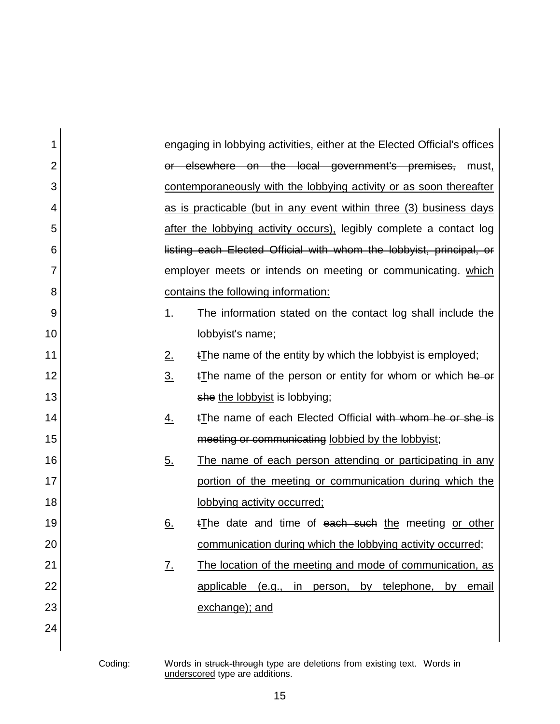| 1              |                | engaging in lobbying activities, either at the Elected Official's offices |
|----------------|----------------|---------------------------------------------------------------------------|
| $\overline{2}$ |                | or elsewhere on the local government's premises, must,                    |
| 3              |                | contemporaneously with the lobbying activity or as soon thereafter        |
| 4              |                | as is practicable (but in any event within three (3) business days        |
| 5              |                | after the lobbying activity occurs), legibly complete a contact log       |
| 6              |                | listing each Elected Official with whom the lobbyist, principal, or       |
| 7              |                | employer meets or intends on meeting or communicating. which              |
| 8              |                | contains the following information:                                       |
| 9              | 1.             | The information stated on the contact log shall include the               |
| 10             |                | lobbyist's name;                                                          |
| 11             | 2.             | tThe name of the entity by which the lobby is employed;                   |
| 12             | 3 <sub>1</sub> | $t$ The name of the person or entity for whom or which he or              |
| 13             |                | she the lobbyist is lobbying;                                             |
| 14             | <u>4.</u>      | tThe name of each Elected Official with whom he or she is                 |
| 15             |                | meeting or communicating lobbied by the lobbyist;                         |
| 16             | <u>5.</u>      | The name of each person attending or participating in any                 |
| 17             |                | portion of the meeting or communication during which the                  |
| 18             |                | lobbying activity occurred;                                               |
| 19             | <u>6.</u>      | tThe date and time of each such the meeting or other                      |
| 20             |                | communication during which the lobbying activity occurred;                |
| 21             | <u>7.</u>      | The location of the meeting and mode of communication, as                 |
| 22             |                | applicable (e.g., in person, by telephone, by email                       |
| 23             |                | exchange); and                                                            |
| 24             |                |                                                                           |
|                |                |                                                                           |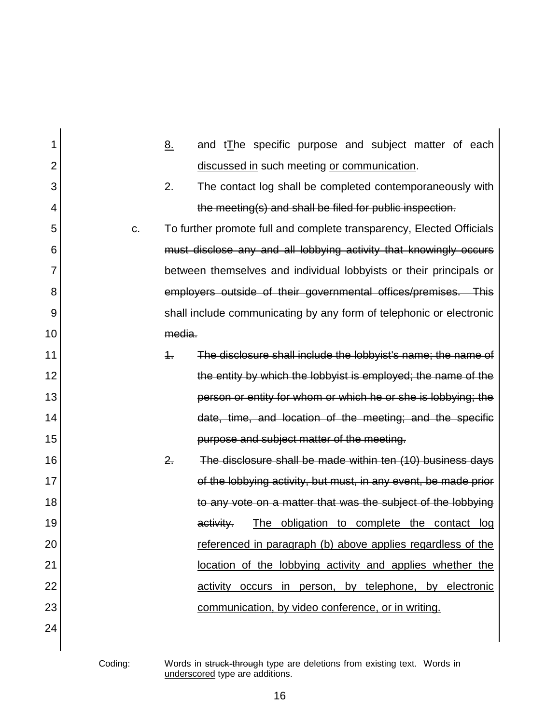| 1              |    | 8.         | and tThe specific purpose and subject matter of each                 |
|----------------|----|------------|----------------------------------------------------------------------|
| $\overline{2}$ |    |            | discussed in such meeting or communication.                          |
| 3              |    | 2.         | The contact log shall be completed contemporaneously with            |
| 4              |    |            | the meeting(s) and shall be filed for public inspection.             |
| 5              | C. |            | To further promote full and complete transparency, Elected Officials |
| 6              |    |            | must disclose any and all lobbying activity that knowingly occurs    |
| 7              |    |            | between themselves and individual lobbyists or their principals or   |
| 8              |    |            | employers outside of their governmental offices/premises. This       |
| 9              |    |            | shall include communicating by any form of telephonic or electronic  |
| 10             |    | media.     |                                                                      |
| 11             |    | $\ddagger$ | The disclosure shall include the lobbyist's name; the name of        |
| 12             |    |            | the entity by which the lobbyist is employed; the name of the        |
| 13             |    |            | person or entity for whom or which he or she is lobbying; the        |
| 14             |    |            | date, time, and location of the meeting; and the specific            |
| 15             |    |            | purpose and subject matter of the meeting.                           |
| 16             |    | 2.         | The disclosure shall be made within ten (10) business days           |
| 17             |    |            | of the lobbying activity, but must, in any event, be made prior      |
| 18             |    |            | to any vote on a matter that was the subject of the lobbying         |
| 19             |    |            | The obligation to complete the contact log<br>activity.              |
| 20             |    |            | referenced in paragraph (b) above applies regardless of the          |
| 21             |    |            | location of the lobbying activity and applies whether the            |
| 22             |    |            | activity occurs in person, by telephone, by electronic               |
| 23             |    |            | communication, by video conference, or in writing.                   |
| 24             |    |            |                                                                      |
|                |    |            |                                                                      |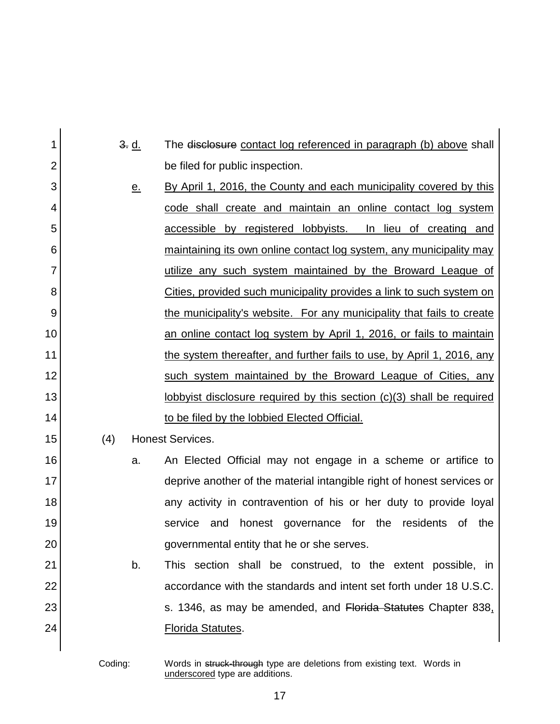| 1              | 3. d.     | The disclosure contact log referenced in paragraph (b) above shall           |
|----------------|-----------|------------------------------------------------------------------------------|
| $\overline{2}$ |           | be filed for public inspection.                                              |
| 3              | <u>e.</u> | By April 1, 2016, the County and each municipality covered by this           |
| 4              |           | code shall create and maintain an online contact log system                  |
| 5              |           | accessible by registered lobbyists. In lieu of creating and                  |
| 6              |           | maintaining its own online contact log system, any municipality may          |
| 7              |           | utilize any such system maintained by the Broward League of                  |
| 8              |           | Cities, provided such municipality provides a link to such system on         |
| 9              |           | the municipality's website. For any municipality that fails to create        |
| 10             |           | an online contact log system by April 1, 2016, or fails to maintain          |
| 11             |           | the system thereafter, and further fails to use, by April 1, 2016, any       |
| 12             |           | such system maintained by the Broward League of Cities, any                  |
| 13             |           | <u>lobbyist disclosure required by this section (c)(3) shall be required</u> |
| 14             |           | to be filed by the lobbied Elected Official.                                 |
| 15             | (4)       | <b>Honest Services.</b>                                                      |
| 16             | a.        | An Elected Official may not engage in a scheme or artifice to                |
| 17             |           | deprive another of the material intangible right of honest services or       |
| 18             |           | any activity in contravention of his or her duty to provide loyal            |
| 19             |           | governance for the residents<br>the<br>service<br>and<br>honest<br>0f        |
| 20             |           | governmental entity that he or she serves.                                   |
| 21             | b.        | This section shall be construed, to the extent possible, in                  |
| 22             |           | accordance with the standards and intent set forth under 18 U.S.C.           |
| 23             |           | s. 1346, as may be amended, and Florida Statutes Chapter 838.                |
| 24             |           | <b>Florida Statutes.</b>                                                     |
|                |           |                                                                              |

Coding: Words in struck-through type are deletions from existing text. Words in underscored type are additions.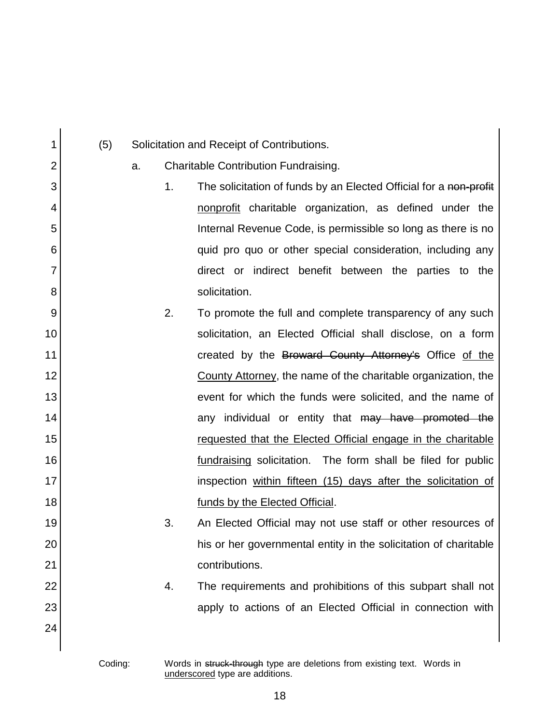| 1              | (5) |    |    | Solicitation and Receipt of Contributions.                        |
|----------------|-----|----|----|-------------------------------------------------------------------|
| $\overline{2}$ |     | a. |    | Charitable Contribution Fundraising.                              |
| 3              |     |    | 1. | The solicitation of funds by an Elected Official for a non-profit |
| 4              |     |    |    | nonprofit charitable organization, as defined under the           |
| 5              |     |    |    | Internal Revenue Code, is permissible so long as there is no      |
| 6              |     |    |    | quid pro quo or other special consideration, including any        |
| 7              |     |    |    | direct or indirect benefit between the parties to the             |
| 8              |     |    |    | solicitation.                                                     |
| 9              |     |    | 2. | To promote the full and complete transparency of any such         |
| 10             |     |    |    | solicitation, an Elected Official shall disclose, on a form       |
| 11             |     |    |    | created by the Broward County Attorney's Office of the            |
| 12             |     |    |    | County Attorney, the name of the charitable organization, the     |
| 13             |     |    |    | event for which the funds were solicited, and the name of         |
| 14             |     |    |    | any individual or entity that may have promoted the               |
| 15             |     |    |    | requested that the Elected Official engage in the charitable      |
| 16             |     |    |    | fundraising solicitation. The form shall be filed for public      |
| 17             |     |    |    | inspection within fifteen (15) days after the solicitation of     |
| 18             |     |    |    | funds by the Elected Official.                                    |
| 19             |     |    | 3. | An Elected Official may not use staff or other resources of       |
| 20             |     |    |    | his or her governmental entity in the solicitation of charitable  |
| 21             |     |    |    | contributions.                                                    |
| 22             |     |    | 4. | The requirements and prohibitions of this subpart shall not       |
| 23             |     |    |    | apply to actions of an Elected Official in connection with        |
| 24             |     |    |    |                                                                   |
|                |     |    |    |                                                                   |

Coding: Words in struck-through type are deletions from existing text. Words in underscored type are additions.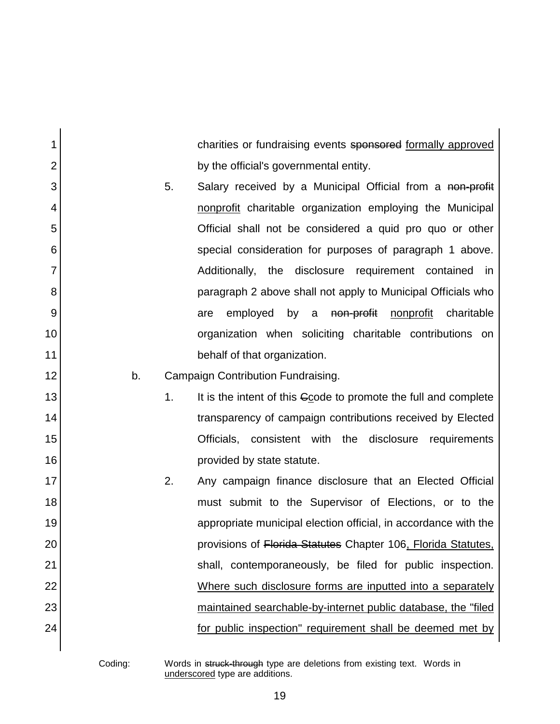charities or fundraising events sponsored formally approved by the official's governmental entity.

- 5. Salary received by a Municipal Official from a non-profit nonprofit charitable organization employing the Municipal Official shall not be considered a quid pro quo or other special consideration for purposes of paragraph 1 above. Additionally, the disclosure requirement contained in paragraph 2 above shall not apply to Municipal Officials who are employed by a non-profit nonprofit charitable organization when soliciting charitable contributions on behalf of that organization.
- b. Campaign Contribution Fundraising.
	- 1. It is the intent of this Ccode to promote the full and complete transparency of campaign contributions received by Elected Officials, consistent with the disclosure requirements provided by state statute.
- 2. Any campaign finance disclosure that an Elected Official must submit to the Supervisor of Elections, or to the appropriate municipal election official, in accordance with the provisions of Florida Statutes Chapter 106, Florida Statutes, shall, contemporaneously, be filed for public inspection. Where such disclosure forms are inputted into a separately maintained searchable-by-internet public database, the "filed for public inspection" requirement shall be deemed met by

1

2

3

4

5

6

7

8

9

10

11

12

13

14

15

16

17

18

19

20

21

22

23

24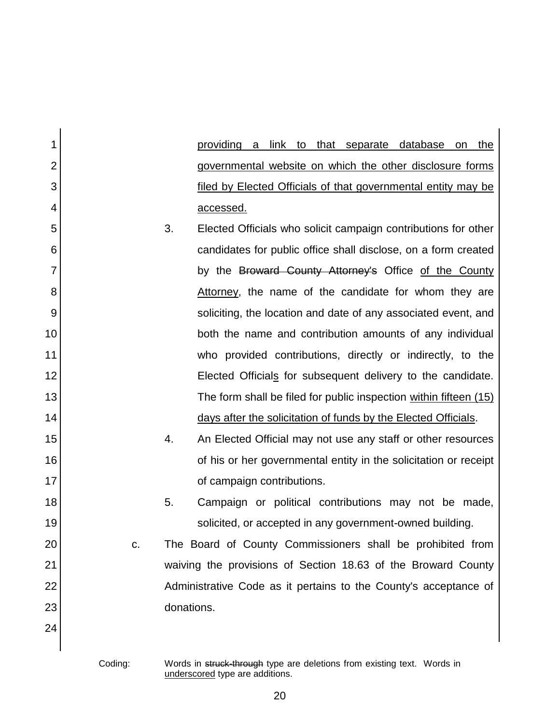| 1              |            | providing<br><u>link to that separate database</u><br>the<br>a<br>on |
|----------------|------------|----------------------------------------------------------------------|
| $\overline{2}$ |            | governmental website on which the other disclosure forms             |
| 3              |            | <u>filed by Elected Officials of that governmental entity may be</u> |
| 4              |            | accessed.                                                            |
| 5              | 3.         | Elected Officials who solicit campaign contributions for other       |
| 6              |            | candidates for public office shall disclose, on a form created       |
| $\overline{7}$ |            | by the Broward County Attorney's Office of the County                |
| 8              |            | Attorney, the name of the candidate for whom they are                |
| 9              |            | soliciting, the location and date of any associated event, and       |
| 10             |            | both the name and contribution amounts of any individual             |
| 11             |            | who provided contributions, directly or indirectly, to the           |
| 12             |            | Elected Officials for subsequent delivery to the candidate.          |
| 13             |            | The form shall be filed for public inspection within fifteen (15)    |
| 14             |            | days after the solicitation of funds by the Elected Officials.       |
| 15             | 4.         | An Elected Official may not use any staff or other resources         |
| 16             |            | of his or her governmental entity in the solicitation or receipt     |
| 17             |            | of campaign contributions.                                           |
| 18             | 5.         | Campaign or political contributions may not be made,                 |
| 19             |            | solicited, or accepted in any government-owned building.             |
| 20             | C.         | The Board of County Commissioners shall be prohibited from           |
| 21             |            | waiving the provisions of Section 18.63 of the Broward County        |
| 22             |            | Administrative Code as it pertains to the County's acceptance of     |
| 23             | donations. |                                                                      |
| 24             |            |                                                                      |
|                |            |                                                                      |

Coding: Words in struck-through type are deletions from existing text. Words in underscored type are additions.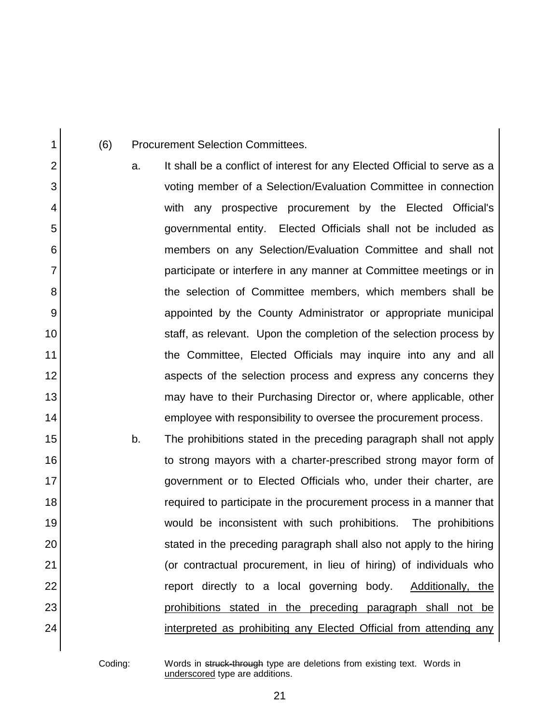(6) Procurement Selection Committees.

1

2

3

4

5

6

7

8

9

10

11

12

13

14

15

16

17

18

19

20

21

22

23

24

a. It shall be a conflict of interest for any Elected Official to serve as a voting member of a Selection/Evaluation Committee in connection with any prospective procurement by the Elected Official's governmental entity. Elected Officials shall not be included as members on any Selection/Evaluation Committee and shall not participate or interfere in any manner at Committee meetings or in the selection of Committee members, which members shall be appointed by the County Administrator or appropriate municipal staff, as relevant. Upon the completion of the selection process by the Committee, Elected Officials may inquire into any and all aspects of the selection process and express any concerns they may have to their Purchasing Director or, where applicable, other employee with responsibility to oversee the procurement process.

b. The prohibitions stated in the preceding paragraph shall not apply to strong mayors with a charter-prescribed strong mayor form of government or to Elected Officials who, under their charter, are required to participate in the procurement process in a manner that would be inconsistent with such prohibitions. The prohibitions stated in the preceding paragraph shall also not apply to the hiring (or contractual procurement, in lieu of hiring) of individuals who report directly to a local governing body. Additionally, the prohibitions stated in the preceding paragraph shall not be interpreted as prohibiting any Elected Official from attending any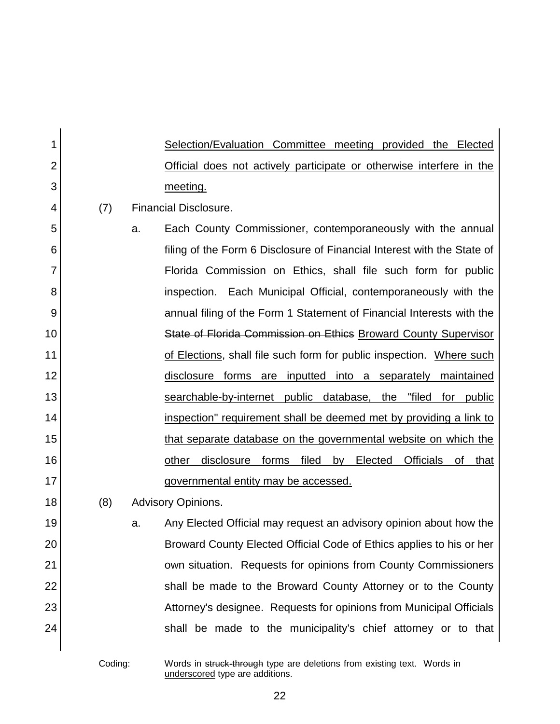| 1  |     | Selection/Evaluation Committee meeting provided the Elected              |
|----|-----|--------------------------------------------------------------------------|
| 2  |     | Official does not actively participate or otherwise interfere in the     |
| 3  |     | meeting.                                                                 |
| 4  | (7) | <b>Financial Disclosure.</b>                                             |
| 5  |     | Each County Commissioner, contemporaneously with the annual<br>a.        |
| 6  |     | filing of the Form 6 Disclosure of Financial Interest with the State of  |
| 7  |     | Florida Commission on Ethics, shall file such form for public            |
| 8  |     | inspection. Each Municipal Official, contemporaneously with the          |
| 9  |     | annual filing of the Form 1 Statement of Financial Interests with the    |
| 10 |     | State of Florida Commission on Ethics Broward County Supervisor          |
| 11 |     | of Elections, shall file such form for public inspection. Where such     |
| 12 |     | disclosure forms are inputted into a separately maintained               |
| 13 |     | searchable-by-internet public database, the "filed for public            |
| 14 |     | inspection" requirement shall be deemed met by providing a link to       |
| 15 |     | that separate database on the governmental website on which the          |
| 16 |     | other disclosure forms filed by Elected Officials<br>that<br>οf          |
| 17 |     | governmental entity may be accessed.                                     |
| 18 | (8) | <b>Advisory Opinions.</b>                                                |
| 19 |     | Any Elected Official may request an advisory opinion about how the<br>a. |
| 20 |     | Broward County Elected Official Code of Ethics applies to his or her     |
| 21 |     | own situation. Requests for opinions from County Commissioners           |
| 22 |     | shall be made to the Broward County Attorney or to the County            |
| 23 |     | Attorney's designee. Requests for opinions from Municipal Officials      |
| 24 |     | shall be made to the municipality's chief attorney or to that            |
|    |     |                                                                          |

Coding: Words in struck-through type are deletions from existing text. Words in underscored type are additions.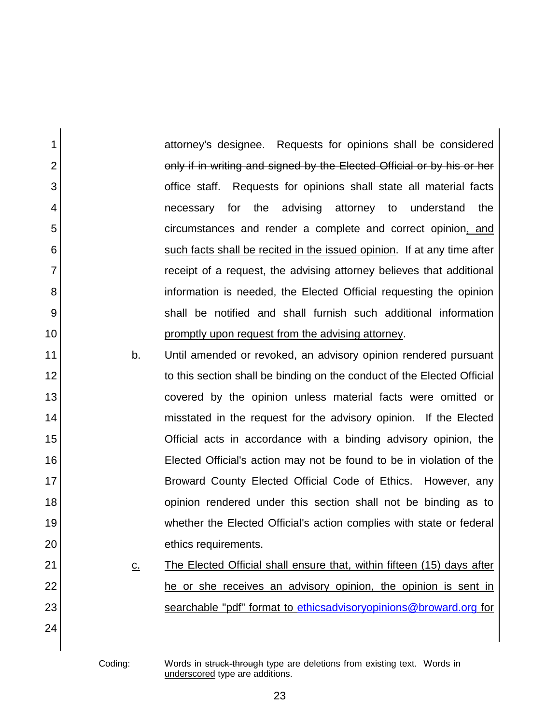attorney's designee. Requests for opinions shall be considered only if in writing and signed by the Elected Official or by his or her office staff. Requests for opinions shall state all material facts necessary for the advising attorney to understand the circumstances and render a complete and correct opinion, and such facts shall be recited in the issued opinion. If at any time after receipt of a request, the advising attorney believes that additional information is needed, the Elected Official requesting the opinion shall be notified and shall furnish such additional information promptly upon request from the advising attorney.

b. Until amended or revoked, an advisory opinion rendered pursuant to this section shall be binding on the conduct of the Elected Official covered by the opinion unless material facts were omitted or misstated in the request for the advisory opinion. If the Elected Official acts in accordance with a binding advisory opinion, the Elected Official's action may not be found to be in violation of the Broward County Elected Official Code of Ethics. However, any opinion rendered under this section shall not be binding as to whether the Elected Official's action complies with state or federal ethics requirements.

c. The Elected Official shall ensure that, within fifteen (15) days after he or she receives an advisory opinion, the opinion is sent in searchable "pdf" format to [ethicsadvisoryopinions@broward.org](mailto:ethicsadvisoryopinions@broward.org) for

1

2

3

4

5

6

7

8

9

10

11

12

13

14

15

16

17

18

19

20

21

22

23

24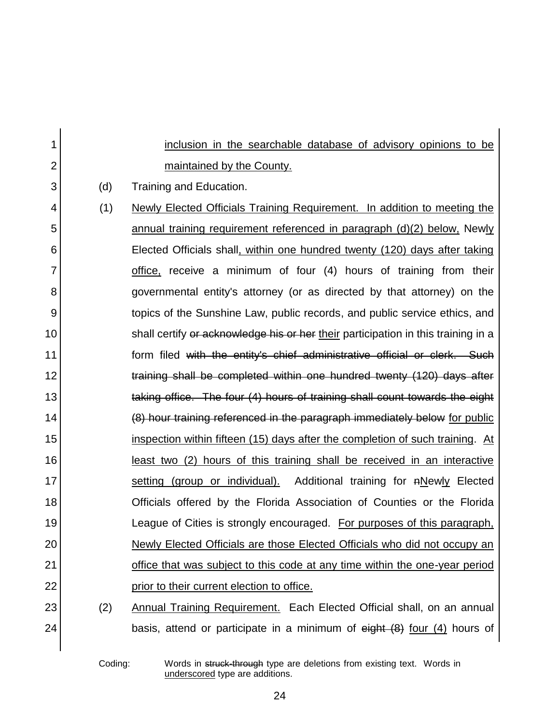| 1              |     | inclusion in the searchable database of advisory opinions to be                     |
|----------------|-----|-------------------------------------------------------------------------------------|
| $\overline{2}$ |     | maintained by the County.                                                           |
| 3              | (d) | Training and Education.                                                             |
| 4              | (1) | Newly Elected Officials Training Requirement. In addition to meeting the            |
| 5              |     | annual training requirement referenced in paragraph (d)(2) below, Newly             |
| 6              |     | Elected Officials shall, within one hundred twenty (120) days after taking          |
| 7              |     | office, receive a minimum of four (4) hours of training from their                  |
| 8              |     | governmental entity's attorney (or as directed by that attorney) on the             |
| 9              |     | topics of the Sunshine Law, public records, and public service ethics, and          |
| 10             |     | shall certify or acknowledge his or her their participation in this training in a   |
| 11             |     | form filed with the entity's chief administrative official or clerk. Such           |
| 12             |     | training shall be completed within one hundred twenty (120) days after              |
| 13             |     | taking office. The four (4) hours of training shall count towards the eight         |
| 14             |     | (8) hour training referenced in the paragraph immediately below for public          |
| 15             |     | inspection within fifteen (15) days after the completion of such training. At       |
| 16             |     | <u>least two (2) hours of this training shall be received in an interactive</u>     |
| 17             |     | setting (group or individual). Additional training for nNewly Elected               |
| 18             |     | Officials offered by the Florida Association of Counties or the Florida             |
| 19             |     | League of Cities is strongly encouraged. For purposes of this paragraph,            |
| 20             |     | Newly Elected Officials are those Elected Officials who did not occupy an           |
| 21             |     | office that was subject to this code at any time within the one-year period         |
| 22             |     | prior to their current election to office.                                          |
| 23             | (2) | Annual Training Requirement. Each Elected Official shall, on an annual              |
| 24             |     | basis, attend or participate in a minimum of $\theta$ eight $(8)$ four (4) hours of |
|                |     |                                                                                     |

Coding: Words in struck-through type are deletions from existing text. Words in underscored type are additions.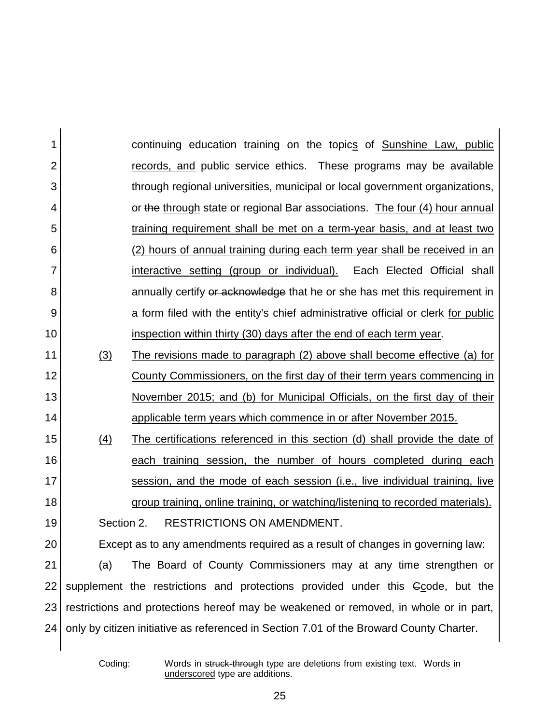| 1              |            | continuing education training on the topics of Sunshine Law, public                     |
|----------------|------------|-----------------------------------------------------------------------------------------|
| $\overline{2}$ |            | records, and public service ethics. These programs may be available                     |
| 3              |            | through regional universities, municipal or local government organizations,             |
| 4              |            | or the through state or regional Bar associations. The four (4) hour annual             |
| 5              |            | training requirement shall be met on a term-year basis, and at least two                |
| 6              |            | (2) hours of annual training during each term year shall be received in an              |
| 7              |            | interactive setting (group or individual). Each Elected Official shall                  |
| 8              |            | annually certify or acknowledge that he or she has met this requirement in              |
| 9              |            | a form filed with the entity's chief administrative official or clerk for public        |
| 10             |            | inspection within thirty (30) days after the end of each term year.                     |
| 11             | (3)        | The revisions made to paragraph (2) above shall become effective (a) for                |
| 12             |            | <u>County Commissioners, on the first day of their term years commencing in</u>         |
| 13             |            | November 2015; and (b) for Municipal Officials, on the first day of their               |
| 14             |            | <u>applicable term years which commence in or after November 2015.</u>                  |
| 15             | (4)        | The certifications referenced in this section (d) shall provide the date of             |
| 16             |            | each training session, the number of hours completed during each                        |
| 17             |            | session, and the mode of each session (i.e., live individual training, live             |
| 18             |            | group training, online training, or watching/listening to recorded materials).          |
| 19             | Section 2. | <b>RESTRICTIONS ON AMENDMENT.</b>                                                       |
| 20             |            | Except as to any amendments required as a result of changes in governing law:           |
| 21             | (a)        | The Board of County Commissioners may at any time strengthen or                         |
| 22             |            | supplement the restrictions and protections provided under this Gcode, but the          |
| 23             |            | restrictions and protections hereof may be weakened or removed, in whole or in part,    |
| 24             |            | only by citizen initiative as referenced in Section 7.01 of the Broward County Charter. |
|                |            |                                                                                         |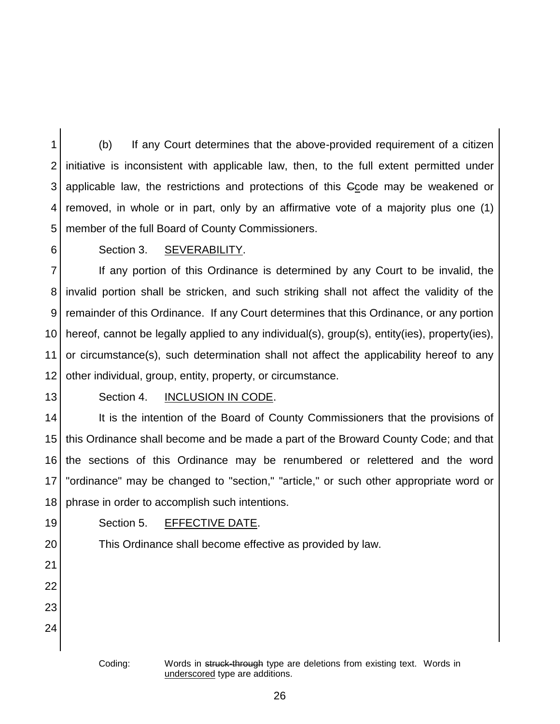1 2 3 4 5 (b) If any Court determines that the above-provided requirement of a citizen initiative is inconsistent with applicable law, then, to the full extent permitted under applicable law, the restrictions and protections of this Ccode may be weakened or removed, in whole or in part, only by an affirmative vote of a majority plus one (1) member of the full Board of County Commissioners.

6

## Section 3. SEVERABILITY.

7 8 9 10 11 12 If any portion of this Ordinance is determined by any Court to be invalid, the invalid portion shall be stricken, and such striking shall not affect the validity of the remainder of this Ordinance. If any Court determines that this Ordinance, or any portion hereof, cannot be legally applied to any individual(s), group(s), entity(ies), property(ies), or circumstance(s), such determination shall not affect the applicability hereof to any other individual, group, entity, property, or circumstance.

13

### Section 4. INCLUSION IN CODE.

14 15 16 17 18 It is the intention of the Board of County Commissioners that the provisions of this Ordinance shall become and be made a part of the Broward County Code; and that the sections of this Ordinance may be renumbered or relettered and the word "ordinance" may be changed to "section," "article," or such other appropriate word or phrase in order to accomplish such intentions.

19

20

23

24

Section 5. EFFECTIVE DATE.

21 22

This Ordinance shall become effective as provided by law.